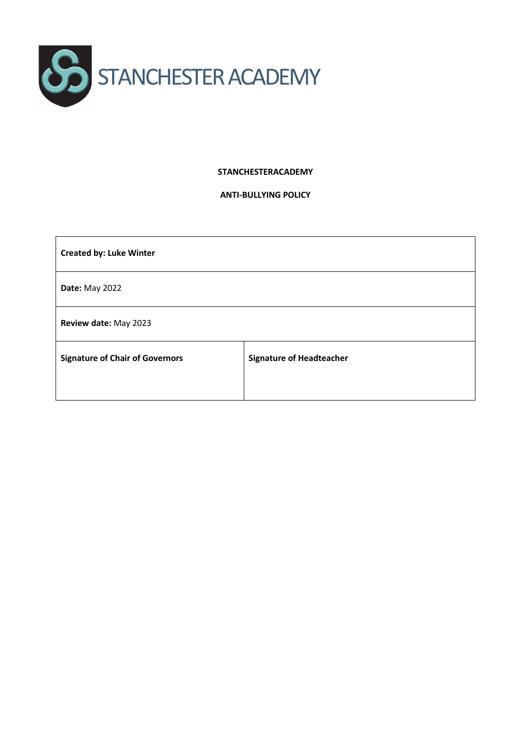

#### **STANCHESTERACADEMY**

#### **ANTI-BULLYING POLICY**

| <b>Created by: Luke Winter</b>         |                                 |
|----------------------------------------|---------------------------------|
| <b>Date: May 2022</b>                  |                                 |
| Review date: May 2023                  |                                 |
| <b>Signature of Chair of Governors</b> | <b>Signature of Headteacher</b> |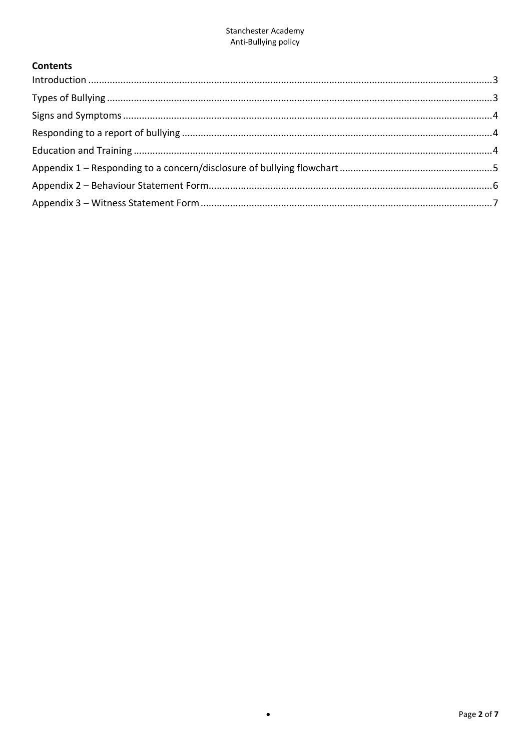# **Contents**

 $\bullet$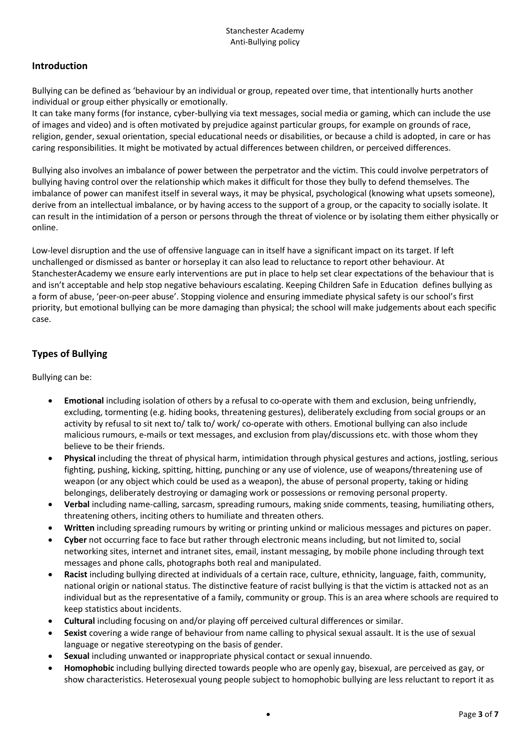## <span id="page-2-0"></span>**Introduction**

Bullying can be defined as 'behaviour by an individual or group, repeated over time, that intentionally hurts another individual or group either physically or emotionally.

It can take many forms (for instance, cyber-bullying via text messages, social media or gaming, which can include the use of images and video) and is often motivated by prejudice against particular groups, for example on grounds of race, religion, gender, sexual orientation, special educational needs or disabilities, or because a child is adopted, in care or has caring responsibilities. It might be motivated by actual differences between children, or perceived differences.

Bullying also involves an imbalance of power between the perpetrator and the victim. This could involve perpetrators of bullying having control over the relationship which makes it difficult for those they bully to defend themselves. The imbalance of power can manifest itself in several ways, it may be physical, psychological (knowing what upsets someone), derive from an intellectual imbalance, or by having access to the support of a group, or the capacity to socially isolate. It can result in the intimidation of a person or persons through the threat of violence or by isolating them either physically or online.

Low-level disruption and the use of offensive language can in itself have a significant impact on its target. If left unchallenged or dismissed as banter or horseplay it can also lead to reluctance to report other behaviour. At StanchesterAcademy we ensure early interventions are put in place to help set clear expectations of the behaviour that is and isn't acceptable and help stop negative behaviours escalating. Keeping Children Safe in Education defines bullying as a form of abuse, 'peer-on-peer abuse'. Stopping violence and ensuring immediate physical safety is our school's first priority, but emotional bullying can be more damaging than physical; the school will make judgements about each specific case.

# <span id="page-2-1"></span>**Types of Bullying**

Bullying can be:

- **Emotional** including isolation of others by a refusal to co-operate with them and exclusion, being unfriendly, excluding, tormenting (e.g. hiding books, threatening gestures), deliberately excluding from social groups or an activity by refusal to sit next to/ talk to/ work/ co-operate with others. Emotional bullying can also include malicious rumours, e-mails or text messages, and exclusion from play/discussions etc. with those whom they believe to be their friends.
- **Physical** including the threat of physical harm, intimidation through physical gestures and actions, jostling, serious fighting, pushing, kicking, spitting, hitting, punching or any use of violence, use of weapons/threatening use of weapon (or any object which could be used as a weapon), the abuse of personal property, taking or hiding belongings, deliberately destroying or damaging work or possessions or removing personal property.
- **Verbal** including name-calling, sarcasm, spreading rumours, making snide comments, teasing, humiliating others, threatening others, inciting others to humiliate and threaten others.
- **Written** including spreading rumours by writing or printing unkind or malicious messages and pictures on paper.
- **Cyber** not occurring face to face but rather through electronic means including, but not limited to, social networking sites, internet and intranet sites, email, instant messaging, by mobile phone including through text messages and phone calls, photographs both real and manipulated.
- **Racist** including bullying directed at individuals of a certain race, culture, ethnicity, language, faith, community, national origin or national status. The distinctive feature of racist bullying is that the victim is attacked not as an individual but as the representative of a family, community or group. This is an area where schools are required to keep statistics about incidents.
- **Cultural** including focusing on and/or playing off perceived cultural differences or similar.
- **Sexist** covering a wide range of behaviour from name calling to physical sexual assault. It is the use of sexual language or negative stereotyping on the basis of gender.
- **Sexual** including unwanted or inappropriate physical contact or sexual innuendo.
- **Homophobic** including bullying directed towards people who are openly gay, bisexual, are perceived as gay, or show characteristics. Heterosexual young people subject to homophobic bullying are less reluctant to report it as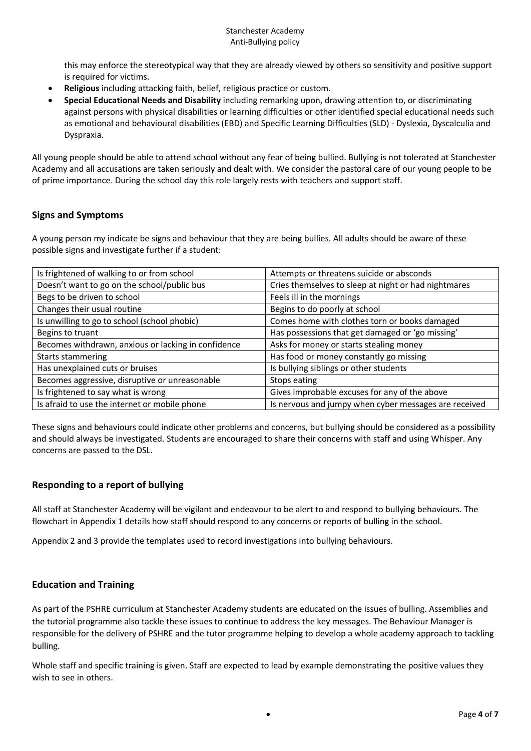this may enforce the stereotypical way that they are already viewed by others so sensitivity and positive support is required for victims.

- **Religious** including attacking faith, belief, religious practice or custom.
- **Special Educational Needs and Disability** including remarking upon, drawing attention to, or discriminating against persons with physical disabilities or learning difficulties or other identified special educational needs such as emotional and behavioural disabilities (EBD) and Specific Learning Difficulties (SLD) - Dyslexia, Dyscalculia and Dyspraxia.

All young people should be able to attend school without any fear of being bullied. Bullying is not tolerated at Stanchester Academy and all accusations are taken seriously and dealt with. We consider the pastoral care of our young people to be of prime importance. During the school day this role largely rests with teachers and support staff.

## <span id="page-3-0"></span>**Signs and Symptoms**

A young person my indicate be signs and behaviour that they are being bullies. All adults should be aware of these possible signs and investigate further if a student:

| Is frightened of walking to or from school          | Attempts or threatens suicide or absconds             |
|-----------------------------------------------------|-------------------------------------------------------|
| Doesn't want to go on the school/public bus         | Cries themselves to sleep at night or had nightmares  |
| Begs to be driven to school                         | Feels ill in the mornings                             |
| Changes their usual routine                         | Begins to do poorly at school                         |
| Is unwilling to go to school (school phobic)        | Comes home with clothes torn or books damaged         |
| Begins to truant                                    | Has possessions that get damaged or 'go missing'      |
| Becomes withdrawn, anxious or lacking in confidence | Asks for money or starts stealing money               |
| Starts stammering                                   | Has food or money constantly go missing               |
| Has unexplained cuts or bruises                     | Is bullying siblings or other students                |
| Becomes aggressive, disruptive or unreasonable      | Stops eating                                          |
| Is frightened to say what is wrong                  | Gives improbable excuses for any of the above         |
| Is afraid to use the internet or mobile phone       | Is nervous and jumpy when cyber messages are received |

These signs and behaviours could indicate other problems and concerns, but bullying should be considered as a possibility and should always be investigated. Students are encouraged to share their concerns with staff and using Whisper. Any concerns are passed to the DSL.

## <span id="page-3-1"></span>**Responding to a report of bullying**

All staff at Stanchester Academy will be vigilant and endeavour to be alert to and respond to bullying behaviours. The flowchart in Appendix 1 details how staff should respond to any concerns or reports of bulling in the school.

Appendix 2 and 3 provide the templates used to record investigations into bullying behaviours.

## <span id="page-3-2"></span>**Education and Training**

As part of the PSHRE curriculum at Stanchester Academy students are educated on the issues of bulling. Assemblies and the tutorial programme also tackle these issues to continue to address the key messages. The Behaviour Manager is responsible for the delivery of PSHRE and the tutor programme helping to develop a whole academy approach to tackling bulling.

Whole staff and specific training is given. Staff are expected to lead by example demonstrating the positive values they wish to see in others.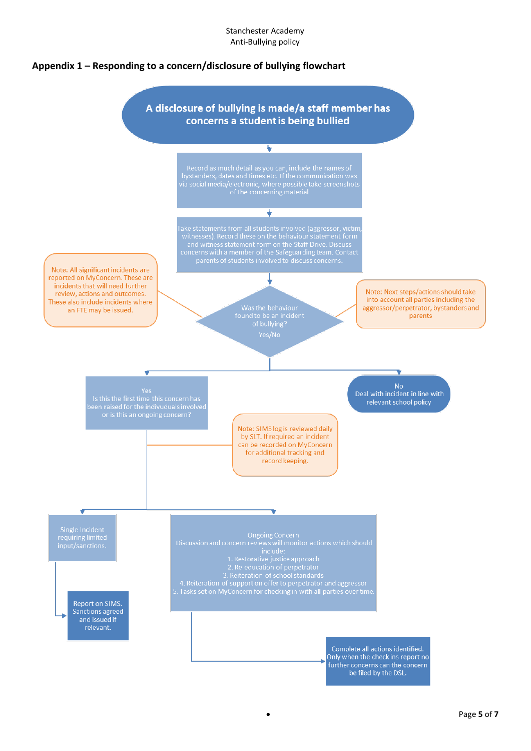#### Stanchester Academy Anti-Bullying policy

## <span id="page-4-0"></span>**Appendix 1 – Responding to a concern/disclosure of bullying flowchart**

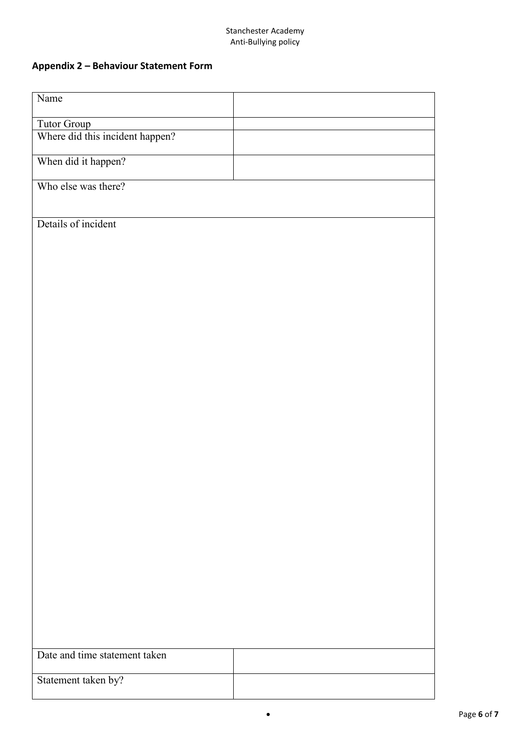#### Stanchester Academy Anti-Bullying policy

# <span id="page-5-0"></span>**Appendix 2 – Behaviour Statement Form**

| Name                            |  |
|---------------------------------|--|
| Tutor Group                     |  |
| Where did this incident happen? |  |
| When did it happen?             |  |
| Who else was there?             |  |
|                                 |  |
| Details of incident             |  |
|                                 |  |
|                                 |  |
|                                 |  |
|                                 |  |
|                                 |  |
|                                 |  |
|                                 |  |
|                                 |  |
|                                 |  |
|                                 |  |
|                                 |  |
|                                 |  |
|                                 |  |
|                                 |  |
|                                 |  |
|                                 |  |
|                                 |  |
|                                 |  |
|                                 |  |
| Date and time statement taken   |  |
| Statement taken by?             |  |